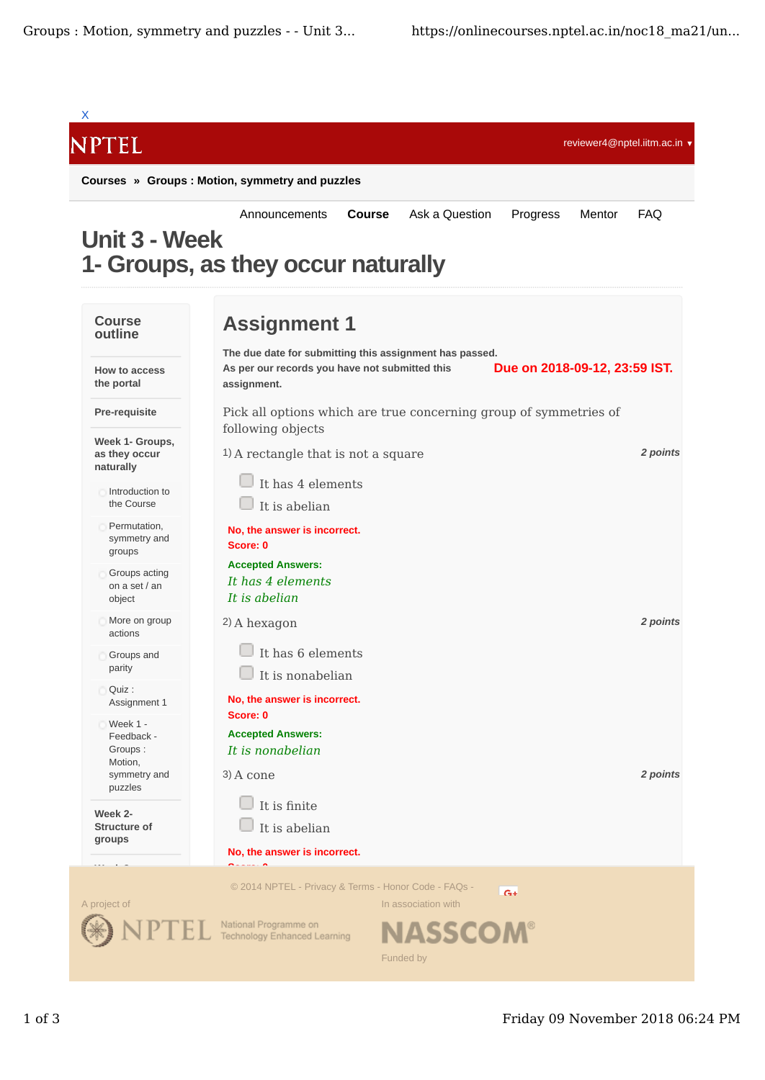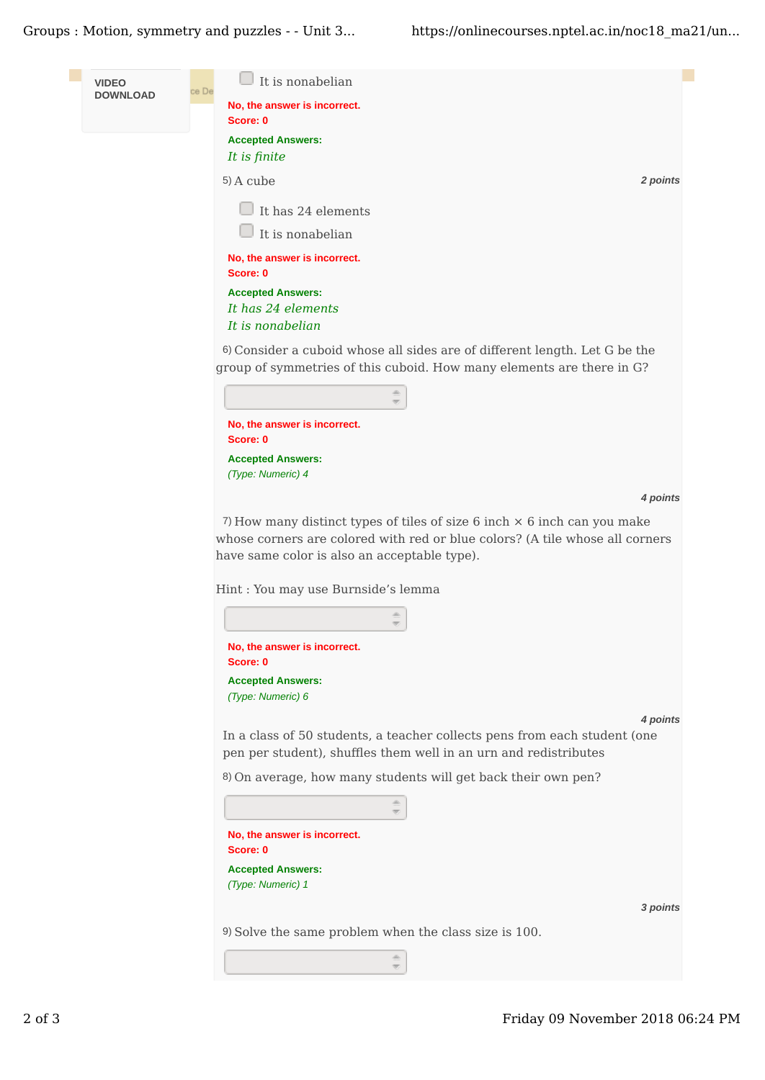Groups : Motion, symmetry and puzzles - - Unit 3... https://onlinecourses.nptel.ac.in/noc18 ma21/un...